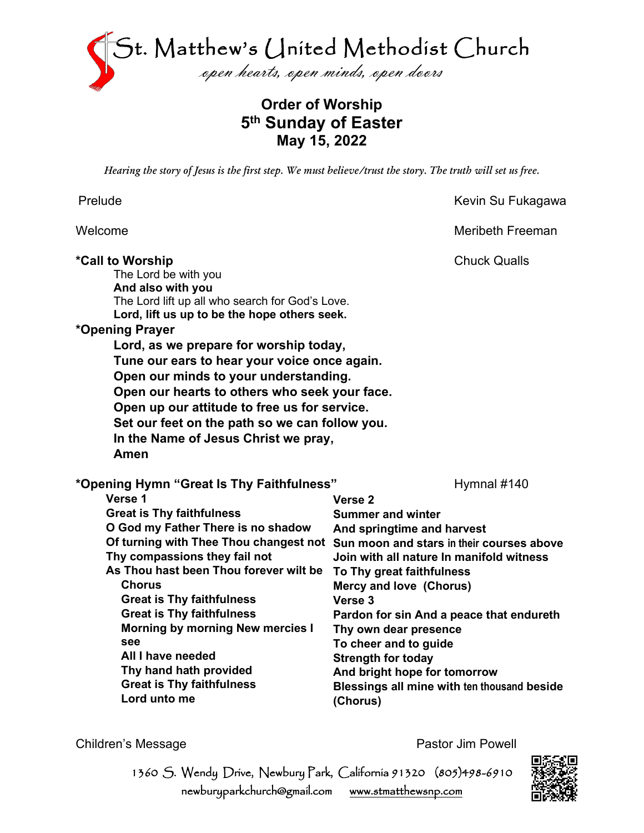

## **Order of Worship 5th Sunday of Easter May 15, 2022**

*Hearing the story of Jesus is the first step. We must believe/trust the story. The truth will set us free.*

| Prelude                                                                                                                                                                                                                                                                                                                                                                                                                                                 | Kevin Su Fukagawa                                                                                                                                                                                                                                                                                                                                                                                                                                                                                                    |
|---------------------------------------------------------------------------------------------------------------------------------------------------------------------------------------------------------------------------------------------------------------------------------------------------------------------------------------------------------------------------------------------------------------------------------------------------------|----------------------------------------------------------------------------------------------------------------------------------------------------------------------------------------------------------------------------------------------------------------------------------------------------------------------------------------------------------------------------------------------------------------------------------------------------------------------------------------------------------------------|
| Welcome                                                                                                                                                                                                                                                                                                                                                                                                                                                 | <b>Meribeth Freeman</b>                                                                                                                                                                                                                                                                                                                                                                                                                                                                                              |
| *Call to Worship<br>The Lord be with you<br>And also with you<br>The Lord lift up all who search for God's Love.<br>Lord, lift us up to be the hope others seek.<br>*Opening Prayer                                                                                                                                                                                                                                                                     | <b>Chuck Qualls</b>                                                                                                                                                                                                                                                                                                                                                                                                                                                                                                  |
| Lord, as we prepare for worship today,<br>Tune our ears to hear your voice once again.<br>Open our minds to your understanding.<br>Open our hearts to others who seek your face.<br>Open up our attitude to free us for service.<br>Set our feet on the path so we can follow you.<br>In the Name of Jesus Christ we pray,<br>Amen                                                                                                                      |                                                                                                                                                                                                                                                                                                                                                                                                                                                                                                                      |
| *Opening Hymn "Great Is Thy Faithfulness"<br>Verse 1<br><b>Great is Thy faithfulness</b><br>O God my Father There is no shadow<br>Thy compassions they fail not<br>As Thou hast been Thou forever wilt be<br><b>Chorus</b><br><b>Great is Thy faithfulness</b><br><b>Great is Thy faithfulness</b><br><b>Morning by morning New mercies I</b><br>see<br>All I have needed<br>Thy hand hath provided<br><b>Great is Thy faithfulness</b><br>Lord unto me | Hymnal #140<br>Verse <sub>2</sub><br><b>Summer and winter</b><br>And springtime and harvest<br>Of turning with Thee Thou changest not Sun moon and stars in their courses above<br>Join with all nature In manifold witness<br>To Thy great faithfulness<br>Mercy and love (Chorus)<br>Verse 3<br>Pardon for sin And a peace that endureth<br>Thy own dear presence<br>To cheer and to guide<br><b>Strength for today</b><br>And bright hope for tomorrow<br>Blessings all mine with ten thousand beside<br>(Chorus) |

Children's Message **Pastor Jim Powell** 

1360 S. Wendy Drive, Newbury Park, California 91320 (805)498-6910 newburyparkchurch@gmail.com [www.stmatthewsnp.com](http://www.stmatthewsnp.com/)

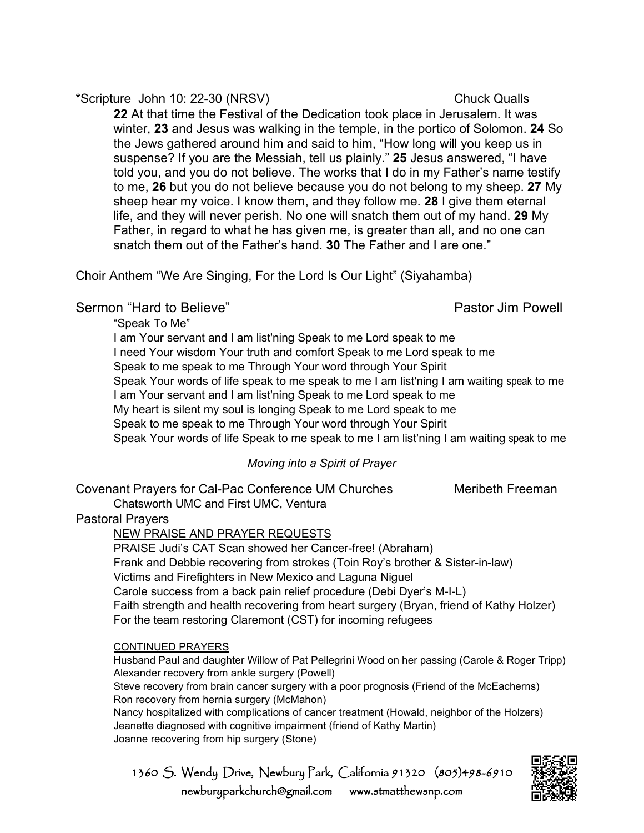#### \*Scripture John 10: 22-30 (NRSV) Chuck Qualls

**22** At that time the Festival of the Dedication took place in Jerusalem. It was winter, **23** and Jesus was walking in the temple, in the portico of Solomon. **24** So the Jews gathered around him and said to him, "How long will you keep us in suspense? If you are the Messiah, tell us plainly." **25** Jesus answered, "I have told you, and you do not believe. The works that I do in my Father's name testify to me, **26** but you do not believe because you do not belong to my sheep. **27** My sheep hear my voice. I know them, and they follow me. **28** I give them eternal life, and they will never perish. No one will snatch them out of my hand. **29** My Father, in regard to what he has given me, is greater than all, and no one can snatch them out of the Father's hand. **30** The Father and I are one."

Choir Anthem "We Are Singing, For the Lord Is Our Light" (Siyahamba)

## Sermon "Hard to Believe" and the example of the Pastor Jim Powell

"Speak To Me"

I am Your servant and I am list'ning Speak to me Lord speak to me I need Your wisdom Your truth and comfort Speak to me Lord speak to me Speak to me speak to me Through Your word through Your Spirit Speak Your words of life speak to me speak to me I am list'ning I am waiting speak to me I am Your servant and I am list'ning Speak to me Lord speak to me My heart is silent my soul is longing Speak to me Lord speak to me Speak to me speak to me Through Your word through Your Spirit Speak Your words of life Speak to me speak to me I am list'ning I am waiting speak to me

## *Moving into a Spirit of Prayer*

Covenant Prayers for Cal-Pac Conference UM Churches Meribeth Freeman

Chatsworth UMC and First UMC, Ventura

Pastoral Prayers

## NEW PRAISE AND PRAYER REQUESTS

PRAISE Judi's CAT Scan showed her Cancer-free! (Abraham) Frank and Debbie recovering from strokes (Toin Roy's brother & Sister-in-law) Victims and Firefighters in New Mexico and Laguna Niguel Carole success from a back pain relief procedure (Debi Dyer's M-I-L) Faith strength and health recovering from heart surgery (Bryan, friend of Kathy Holzer) For the team restoring Claremont (CST) for incoming refugees

CONTINUED PRAYERS

Husband Paul and daughter Willow of Pat Pellegrini Wood on her passing (Carole & Roger Tripp) Alexander recovery from ankle surgery (Powell)

Steve recovery from brain cancer surgery with a poor prognosis (Friend of the McEacherns) Ron recovery from hernia surgery (McMahon)

Nancy hospitalized with complications of cancer treatment (Howald, neighbor of the Holzers) Jeanette diagnosed with cognitive impairment (friend of Kathy Martin) Joanne recovering from hip surgery (Stone)



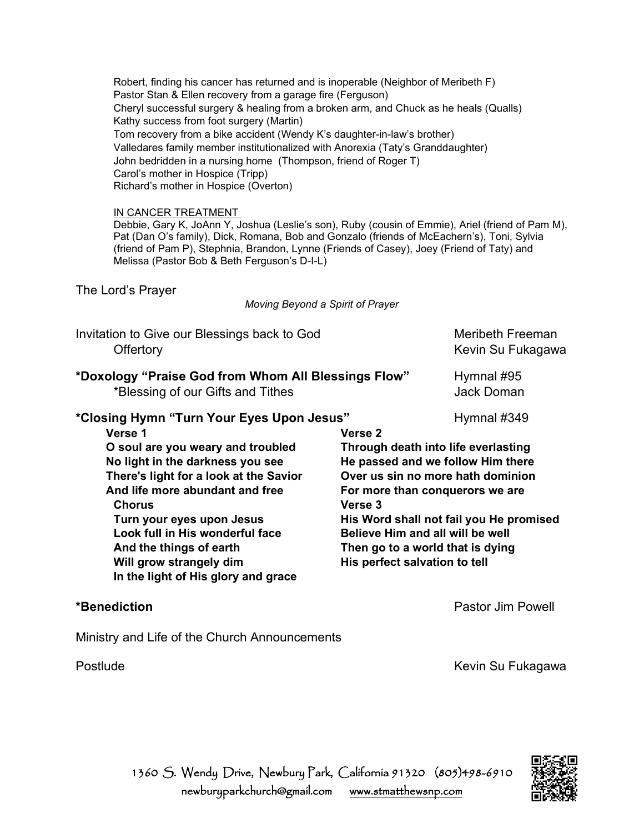Robert, finding his cancer has returned and is inoperable (Neighbor of Meribeth F) Pastor Stan & Ellen recovery from a garage fire (Ferguson) Cheryl successful surgery & healing from a broken arm, and Chuck as he heals (Qualls) Kathy success from foot surgery (Martin) Tom recovery from a bike accident (Wendy K's daughter-in-law's brother) Valledares family member institutionalized with Anorexia (Taty's Granddaughter) John bedridden in a nursing home (Thompson, friend of Roger T) Carol's mother in Hospice (Tripp) Richard's mother in Hospice (Overton)

#### IN CANCER TREATMENT

Debbie, Gary K, JoAnn Y, Joshua (Leslie's son), Ruby (cousin of Emmie), Ariel (friend of Pam M), Pat (Dan O's family), Dick, Romana, Bob and Gonzalo (friends of McEachern's), Toni, Sylvia (friend of Pam P), Stephnia, Brandon, Lynne (Friends of Casey), Joey (Friend of Taty) and Melissa (Pastor Bob & Beth Ferguson's D-I-L)

The Lord's Prayer

#### *Moving Beyond a Spirit of Prayer*

| Invitation to Give our Blessings back to God        | <b>Meribeth Freeman</b> |
|-----------------------------------------------------|-------------------------|
| <b>Offertory</b>                                    | Kevin Su Fukagawa       |
| *Doxology "Praise God from Whom All Blessings Flow" | Hymnal #95              |
| *Blessing of our Gifts and Tithes                   | Jack Doman              |
| *Closing Hymn "Turn Your Eyes Upon Jesus"           | Hymnal #349             |

**Verse 3**

- **Verse 1 Verse 2**
	- **O soul are you weary and troubled No light in the darkness you see There's light for a look at the Savior And life more abundant and free Chorus Turn your eyes upon Jesus Look full in His wonderful face And the things of earth Will grow strangely dim In the light of His glory and grace**

\*Benediction **Pastor Jim Powell** 

**Through death into life everlasting He passed and we follow Him there Over us sin no more hath dominion For more than conquerors we are**

**Believe Him and all will be well Then go to a world that is dying His perfect salvation to tell**

**His Word shall not fail you He promised**

Ministry and Life of the Church Announcements

Postlude **Kevin Su Fukagawa**